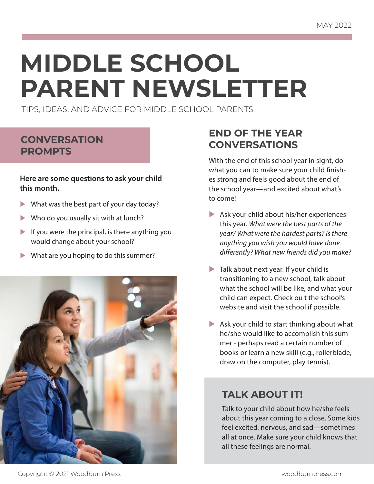# **MIDDLE SCHOOL PARENT NEWSLETTER**

TIPS, IDEAS, AND ADVICE FOR MIDDLE SCHOOL PARENTS

## **CONVERSATION PROMPTS**

#### **Here are some questions to ask your child this month.**

- $\blacktriangleright$  What was the best part of your day today?
- $\blacktriangleright$  Who do you usually sit with at lunch?
- If you were the principal, is there anything you would change about your school?
- What are you hoping to do this summer?



## **END OF THE YEAR CONVERSATIONS**

With the end of this school year in sight, do what you can to make sure your child finishes strong and feels good about the end of the school year—and excited about what's to come!

- $\blacktriangleright$  Ask your child about his/her experiences this year. What were the best parts of the year? What were the hardest parts? Is there anything you wish you would have done differently? What new friends did you make?
- $\blacktriangleright$  Talk about next year. If your child is transitioning to a new school, talk about what the school will be like, and what your child can expect. Check ou t the school's website and visit the school if possible.
- Ask your child to start thinking about what he/she would like to accomplish this summer - perhaps read a certain number of books or learn a new skill (e.g., rollerblade, draw on the computer, play tennis).

## **TALK ABOUT IT!**

Talk to your child about how he/she feels about this year coming to a close. Some kids feel excited, nervous, and sad—sometimes all at once. Make sure your child knows that all these feelings are normal.

Copyright © 2021 Woodburn Press woodburnpress.com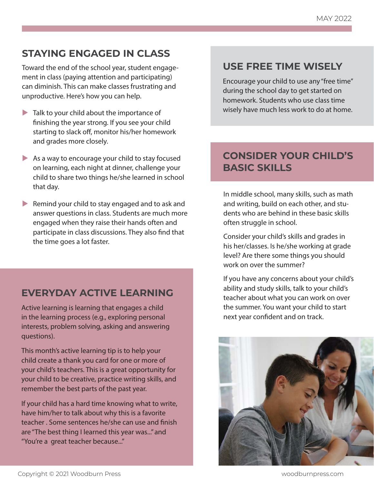## **STAYING ENGAGED IN CLASS**

Toward the end of the school year, student engagement in class (paying attention and participating) can diminish. This can make classes frustrating and unproductive. Here's how you can help.

- $\blacktriangleright$  Talk to your child about the importance of finishing the year strong. If you see your child starting to slack off, monitor his/her homework and grades more closely.
- $\blacktriangleright$  As a way to encourage your child to stay focused on learning, each night at dinner, challenge your child to share two things he/she learned in school that day.
- $\blacktriangleright$  Remind your child to stay engaged and to ask and answer questions in class. Students are much more engaged when they raise their hands often and participate in class discussions. They also find that the time goes a lot faster.

### **EVERYDAY ACTIVE LEARNING**

Active learning is learning that engages a child in the learning process (e.g., exploring personal interests, problem solving, asking and answering questions).

This month's active learning tip is to help your child create a thank you card for one or more of your child's teachers. This is a great opportunity for your child to be creative, practice writing skills, and remember the best parts of the past year.

If your child has a hard time knowing what to write, have him/her to talk about why this is a favorite teacher . Some sentences he/she can use and finish are "The best thing I learned this year was..." and "You're a great teacher because..."

## **USE FREE TIME WISELY**

Encourage your child to use any "free time" during the school day to get started on homework. Students who use class time wisely have much less work to do at home.

## **CONSIDER YOUR CHILD'S BASIC SKILLS**

In middle school, many skills, such as math and writing, build on each other, and students who are behind in these basic skills often struggle in school.

Consider your child's skills and grades in his her/classes. Is he/she working at grade level? Are there some things you should work on over the summer?

If you have any concerns about your child's ability and study skills, talk to your child's teacher about what you can work on over the summer. You want your child to start next year confident and on track.

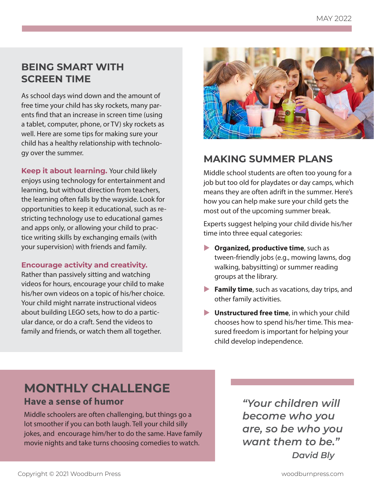## **BEING SMART WITH SCREEN TIME**

As school days wind down and the amount of free time your child has sky rockets, many parents find that an increase in screen time (using a tablet, computer, phone, or TV) sky rockets as well. Here are some tips for making sure your child has a healthy relationship with technology over the summer.

**Keep it about learning.** Your child likely enjoys using technology for entertainment and learning, but without direction from teachers, the learning often falls by the wayside. Look for opportunities to keep it educational, such as restricting technology use to educational games and apps only, or allowing your child to practice writing skills by exchanging emails (with your supervision) with friends and family.

#### **Encourage activity and creativity.**

Rather than passively sitting and watching videos for hours, encourage your child to make his/her own videos on a topic of his/her choice. Your child might narrate instructional videos about building LEGO sets, how to do a particular dance, or do a craft. Send the videos to family and friends, or watch them all together.



## **MAKING SUMMER PLANS**

Middle school students are often too young for a job but too old for playdates or day camps, which means they are often adrift in the summer. Here's how you can help make sure your child gets the most out of the upcoming summer break.

Experts suggest helping your child divide his/her time into three equal categories:

- **Dimenized, productive time**, such as tween-friendly jobs (e.g., mowing lawns, dog walking, babysitting) or summer reading groups at the library.
- **Family time**, such as vacations, day trips, and other family activities.
- **L** Unstructured free time, in which your child chooses how to spend his/her time. This measured freedom is important for helping your child develop independence.

## **MONTHLY CHALLENGE Have a sense of humor**

Middle schoolers are often challenging, but things go a lot smoother if you can both laugh. Tell your child silly jokes, and encourage him/her to do the same. Have family movie nights and take turns choosing comedies to watch.

*"Your children will become who you are, so be who you want them to be." David Bly*